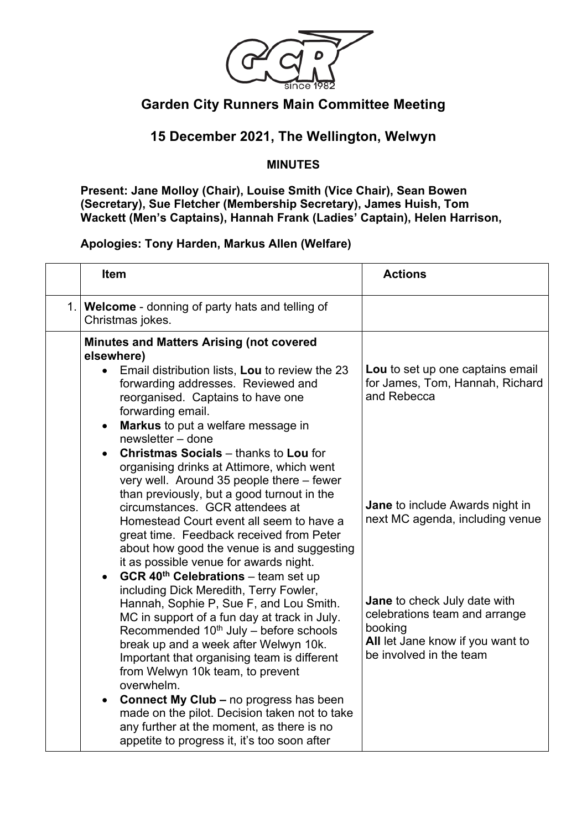

## **Garden City Runners Main Committee Meeting**

## **15 December 2021, The Wellington, Welwyn**

## **MINUTES**

**Present: Jane Molloy (Chair), Louise Smith (Vice Chair), Sean Bowen (Secretary), Sue Fletcher (Membership Secretary), James Huish, Tom Wackett (Men's Captains), Hannah Frank (Ladies' Captain), Helen Harrison,** 

## **Apologies: Tony Harden, Markus Allen (Welfare)**

| Item                                                                                                                                                                                                                                                                                                                                                                                                                                                                            | <b>Actions</b>                                                                                                                          |
|---------------------------------------------------------------------------------------------------------------------------------------------------------------------------------------------------------------------------------------------------------------------------------------------------------------------------------------------------------------------------------------------------------------------------------------------------------------------------------|-----------------------------------------------------------------------------------------------------------------------------------------|
| 1. Welcome - donning of party hats and telling of<br>Christmas jokes.                                                                                                                                                                                                                                                                                                                                                                                                           |                                                                                                                                         |
| <b>Minutes and Matters Arising (not covered</b><br>elsewhere)<br>Email distribution lists, Lou to review the 23<br>forwarding addresses. Reviewed and<br>reorganised. Captains to have one<br>forwarding email.<br>Markus to put a welfare message in<br>$\bullet$<br>newsletter - done                                                                                                                                                                                         | Lou to set up one captains email<br>for James, Tom, Hannah, Richard<br>and Rebecca                                                      |
| <b>Christmas Socials - thanks to Lou for</b><br>$\bullet$<br>organising drinks at Attimore, which went<br>very well. Around 35 people there - fewer<br>than previously, but a good turnout in the<br>circumstances. GCR attendees at<br>Homestead Court event all seem to have a<br>great time. Feedback received from Peter<br>about how good the venue is and suggesting<br>it as possible venue for awards night.<br><b>GCR 40th Celebrations - team set up</b><br>$\bullet$ | Jane to include Awards night in<br>next MC agenda, including venue                                                                      |
| including Dick Meredith, Terry Fowler,<br>Hannah, Sophie P, Sue F, and Lou Smith.<br>MC in support of a fun day at track in July.<br>Recommended $10th$ July – before schools<br>break up and a week after Welwyn 10k.<br>Important that organising team is different<br>from Welwyn 10k team, to prevent<br>overwhelm.<br><b>Connect My Club - no progress has been</b><br>made on the pilot. Decision taken not to take<br>any further at the moment, as there is no          | Jane to check July date with<br>celebrations team and arrange<br>booking<br>All let Jane know if you want to<br>be involved in the team |
| appetite to progress it, it's too soon after                                                                                                                                                                                                                                                                                                                                                                                                                                    |                                                                                                                                         |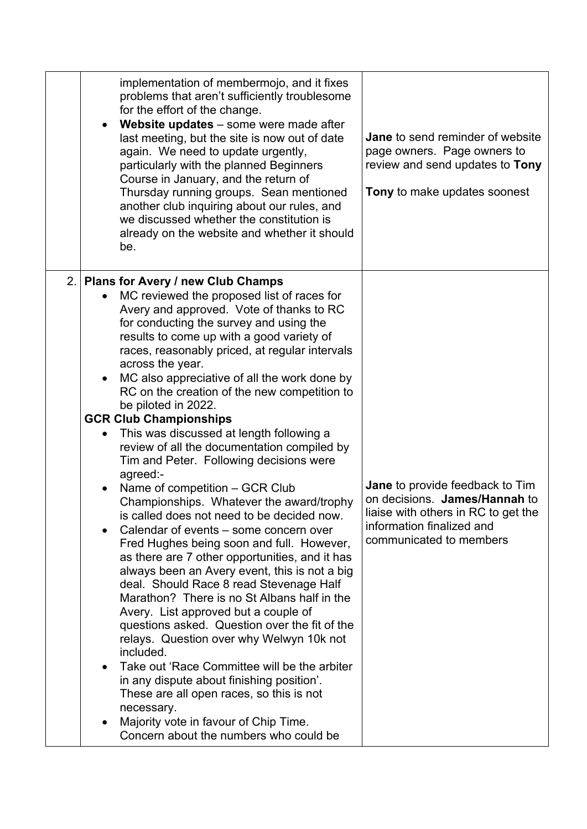|    | implementation of membermojo, and it fixes<br>problems that aren't sufficiently troublesome<br>for the effort of the change.<br>Website updates - some were made after<br>last meeting, but the site is now out of date<br>again. We need to update urgently,<br>particularly with the planned Beginners<br>Course in January, and the return of<br>Thursday running groups. Sean mentioned<br>another club inquiring about our rules, and<br>we discussed whether the constitution is<br>already on the website and whether it should<br>be.                                                                                                                                                                                                                                                                                                                                                                                                                                                                                                                                                                                                                                                                                                                                                                                                                                                                                             | Jane to send reminder of website<br>page owners. Page owners to<br>review and send updates to Tony<br>Tony to make updates soonest                                     |
|----|-------------------------------------------------------------------------------------------------------------------------------------------------------------------------------------------------------------------------------------------------------------------------------------------------------------------------------------------------------------------------------------------------------------------------------------------------------------------------------------------------------------------------------------------------------------------------------------------------------------------------------------------------------------------------------------------------------------------------------------------------------------------------------------------------------------------------------------------------------------------------------------------------------------------------------------------------------------------------------------------------------------------------------------------------------------------------------------------------------------------------------------------------------------------------------------------------------------------------------------------------------------------------------------------------------------------------------------------------------------------------------------------------------------------------------------------|------------------------------------------------------------------------------------------------------------------------------------------------------------------------|
| 2. | Plans for Avery / new Club Champs<br>MC reviewed the proposed list of races for<br>Avery and approved. Vote of thanks to RC<br>for conducting the survey and using the<br>results to come up with a good variety of<br>races, reasonably priced, at regular intervals<br>across the year.<br>MC also appreciative of all the work done by<br>RC on the creation of the new competition to<br>be piloted in 2022.<br><b>GCR Club Championships</b><br>This was discussed at length following a<br>$\bullet$<br>review of all the documentation compiled by<br>Tim and Peter. Following decisions were<br>agreed:-<br>Name of competition - GCR Club<br>Championships. Whatever the award/trophy<br>is called does not need to be decided now.<br>Calendar of events – some concern over<br>$\bullet$<br>Fred Hughes being soon and full. However,<br>as there are 7 other opportunities, and it has<br>always been an Avery event, this is not a big<br>deal. Should Race 8 read Stevenage Half<br>Marathon? There is no St Albans half in the<br>Avery. List approved but a couple of<br>questions asked. Question over the fit of the<br>relays. Question over why Welwyn 10k not<br>included.<br>Take out 'Race Committee will be the arbiter<br>in any dispute about finishing position'.<br>These are all open races, so this is not<br>necessary.<br>Majority vote in favour of Chip Time.<br>Concern about the numbers who could be | <b>Jane</b> to provide feedback to Tim<br>on decisions. James/Hannah to<br>liaise with others in RC to get the<br>information finalized and<br>communicated to members |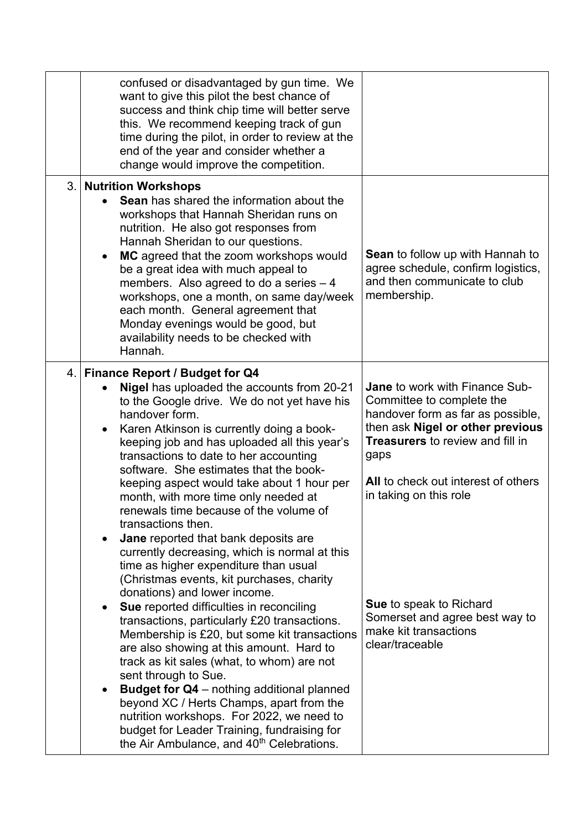|    | confused or disadvantaged by gun time. We<br>want to give this pilot the best chance of<br>success and think chip time will better serve<br>this. We recommend keeping track of gun<br>time during the pilot, in order to review at the<br>end of the year and consider whether a<br>change would improve the competition.                                                                                                                                                                                                                                                                                                                                                                                                                                                                                                                         |                                                                                                                                                                                                                                                                                                                                                                                 |
|----|----------------------------------------------------------------------------------------------------------------------------------------------------------------------------------------------------------------------------------------------------------------------------------------------------------------------------------------------------------------------------------------------------------------------------------------------------------------------------------------------------------------------------------------------------------------------------------------------------------------------------------------------------------------------------------------------------------------------------------------------------------------------------------------------------------------------------------------------------|---------------------------------------------------------------------------------------------------------------------------------------------------------------------------------------------------------------------------------------------------------------------------------------------------------------------------------------------------------------------------------|
| 3. | <b>Nutrition Workshops</b><br>Sean has shared the information about the<br>workshops that Hannah Sheridan runs on<br>nutrition. He also got responses from<br>Hannah Sheridan to our questions.<br>MC agreed that the zoom workshops would<br>$\bullet$<br>be a great idea with much appeal to<br>members. Also agreed to do a series $-4$<br>workshops, one a month, on same day/week<br>each month. General agreement that<br>Monday evenings would be good, but<br>availability needs to be checked with<br>Hannah.                                                                                                                                                                                                                                                                                                                             | <b>Sean</b> to follow up with Hannah to<br>agree schedule, confirm logistics,<br>and then communicate to club<br>membership.                                                                                                                                                                                                                                                    |
|    | 4. Finance Report / Budget for Q4<br>Nigel has uploaded the accounts from 20-21<br>to the Google drive. We do not yet have his<br>handover form.<br>Karen Atkinson is currently doing a book-<br>keeping job and has uploaded all this year's<br>transactions to date to her accounting<br>software. She estimates that the book-<br>keeping aspect would take about 1 hour per<br>month, with more time only needed at<br>renewals time because of the volume of<br>transactions then.<br>Jane reported that bank deposits are<br>currently decreasing, which is normal at this<br>time as higher expenditure than usual<br>(Christmas events, kit purchases, charity<br>donations) and lower income.<br>Sue reported difficulties in reconciling<br>transactions, particularly £20 transactions.<br>Membership is £20, but some kit transactions | <b>Jane to work with Finance Sub-</b><br>Committee to complete the<br>handover form as far as possible,<br>then ask Nigel or other previous<br><b>Treasurers</b> to review and fill in<br>gaps<br>All to check out interest of others<br>in taking on this role<br><b>Sue to speak to Richard</b><br>Somerset and agree best way to<br>make kit transactions<br>clear/traceable |
|    | are also showing at this amount. Hard to<br>track as kit sales (what, to whom) are not<br>sent through to Sue.<br><b>Budget for Q4</b> - nothing additional planned<br>beyond XC / Herts Champs, apart from the<br>nutrition workshops. For 2022, we need to<br>budget for Leader Training, fundraising for<br>the Air Ambulance, and 40 <sup>th</sup> Celebrations.                                                                                                                                                                                                                                                                                                                                                                                                                                                                               |                                                                                                                                                                                                                                                                                                                                                                                 |